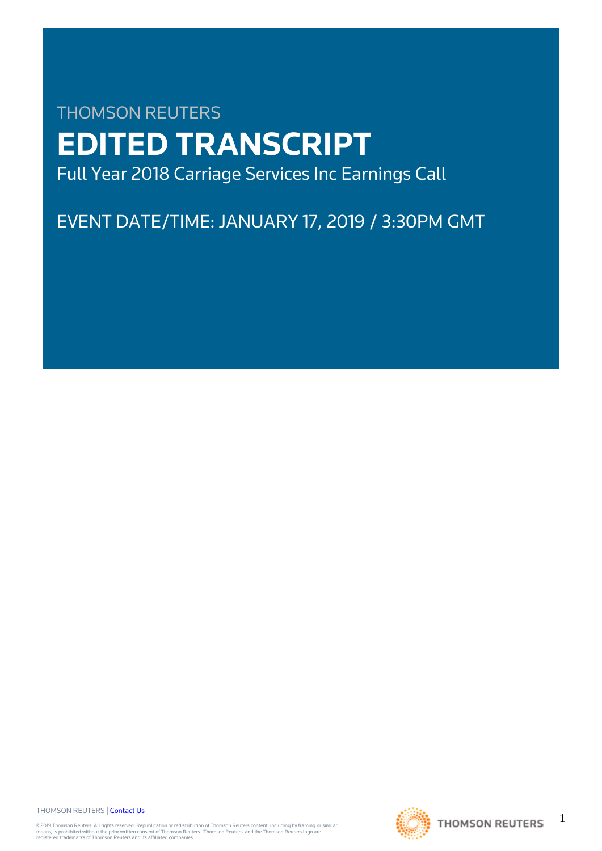# THOMSON REUTERS **EDITED TRANSCRIPT** Full Year 2018 Carriage Services Inc Earnings Call

EVENT DATE/TIME: JANUARY 17, 2019 / 3:30PM GMT

THOMSON REUTERS | [Contact Us](https://my.thomsonreuters.com/ContactUsNew)

©2019 Thomson Reuters. All rights reserved. Republication or redistribution of Thomson Reuters content, including by framing or similar<br>means, is prohibited without the prior written consent of Thomson Reuters. "Thomson Re



1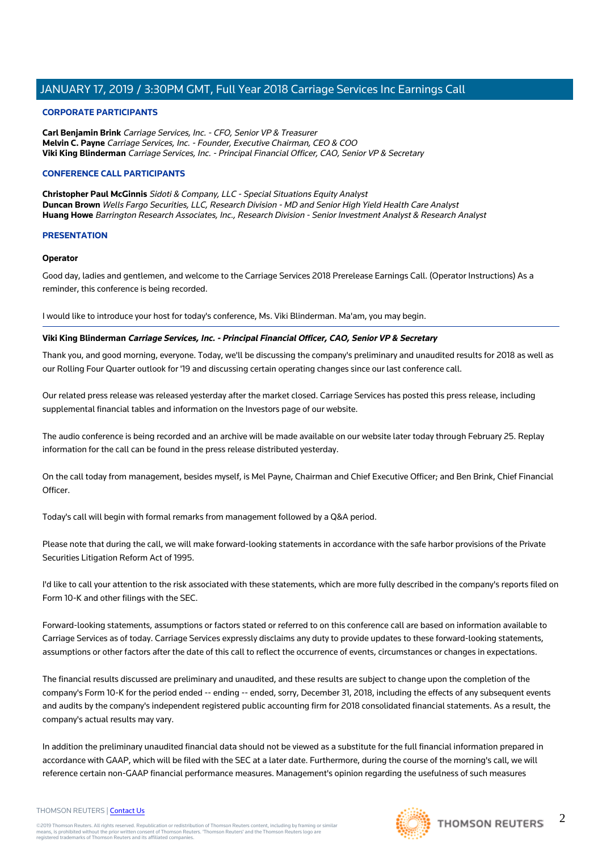## **CORPORATE PARTICIPANTS**

**Carl Benjamin Brink** Carriage Services, Inc. - CFO, Senior VP & Treasurer **Melvin C. Payne** Carriage Services, Inc. - Founder, Executive Chairman, CEO & COO **Viki King Blinderman** Carriage Services, Inc. - Principal Financial Officer, CAO, Senior VP & Secretary

## **CONFERENCE CALL PARTICIPANTS**

**Christopher Paul McGinnis** Sidoti & Company, LLC - Special Situations Equity Analyst **Duncan Brown** Wells Fargo Securities, LLC, Research Division - MD and Senior High Yield Health Care Analyst **Huang Howe** Barrington Research Associates, Inc., Research Division - Senior Investment Analyst & Research Analyst

## **PRESENTATION**

## **Operator**

Good day, ladies and gentlemen, and welcome to the Carriage Services 2018 Prerelease Earnings Call. (Operator Instructions) As a reminder, this conference is being recorded.

I would like to introduce your host for today's conference, Ms. Viki Blinderman. Ma'am, you may begin.

## **Viki King Blinderman Carriage Services, Inc. - Principal Financial Officer, CAO, Senior VP & Secretary**

Thank you, and good morning, everyone. Today, we'll be discussing the company's preliminary and unaudited results for 2018 as well as our Rolling Four Quarter outlook for '19 and discussing certain operating changes since our last conference call.

Our related press release was released yesterday after the market closed. Carriage Services has posted this press release, including supplemental financial tables and information on the Investors page of our website.

The audio conference is being recorded and an archive will be made available on our website later today through February 25. Replay information for the call can be found in the press release distributed yesterday.

On the call today from management, besides myself, is Mel Payne, Chairman and Chief Executive Officer; and Ben Brink, Chief Financial Officer.

Today's call will begin with formal remarks from management followed by a Q&A period.

Please note that during the call, we will make forward-looking statements in accordance with the safe harbor provisions of the Private Securities Litigation Reform Act of 1995.

I'd like to call your attention to the risk associated with these statements, which are more fully described in the company's reports filed on Form 10-K and other filings with the SEC.

Forward-looking statements, assumptions or factors stated or referred to on this conference call are based on information available to Carriage Services as of today. Carriage Services expressly disclaims any duty to provide updates to these forward-looking statements, assumptions or other factors after the date of this call to reflect the occurrence of events, circumstances or changes in expectations.

The financial results discussed are preliminary and unaudited, and these results are subject to change upon the completion of the company's Form 10-K for the period ended -- ending -- ended, sorry, December 31, 2018, including the effects of any subsequent events and audits by the company's independent registered public accounting firm for 2018 consolidated financial statements. As a result, the company's actual results may vary.

In addition the preliminary unaudited financial data should not be viewed as a substitute for the full financial information prepared in accordance with GAAP, which will be filed with the SEC at a later date. Furthermore, during the course of the morning's call, we will reference certain non-GAAP financial performance measures. Management's opinion regarding the usefulness of such measures

#### THOMSON REUTERS | [Contact Us](https://my.thomsonreuters.com/ContactUsNew)

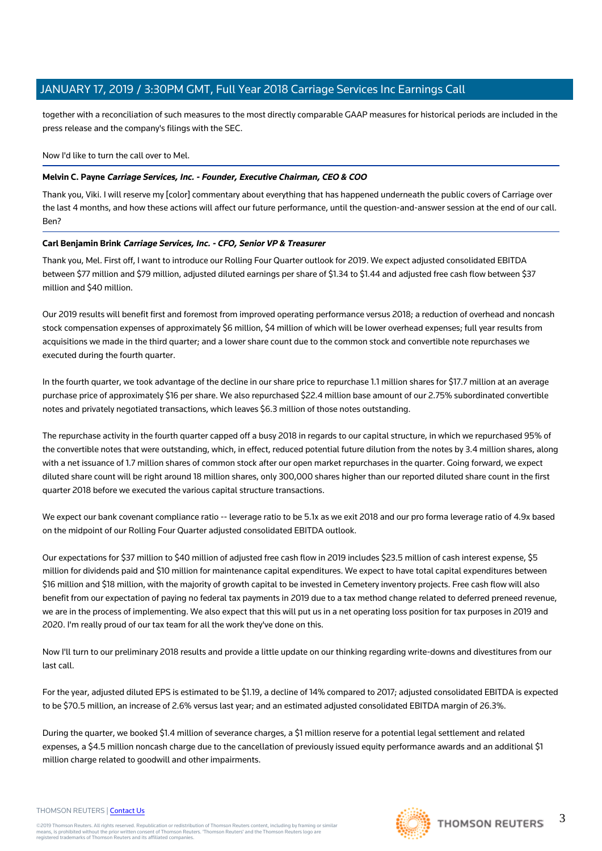together with a reconciliation of such measures to the most directly comparable GAAP measures for historical periods are included in the press release and the company's filings with the SEC.

Now I'd like to turn the call over to Mel.

## **Melvin C. Payne Carriage Services, Inc. - Founder, Executive Chairman, CEO & COO**

Thank you, Viki. I will reserve my [color] commentary about everything that has happened underneath the public covers of Carriage over the last 4 months, and how these actions will affect our future performance, until the question-and-answer session at the end of our call. Ben?

## **Carl Benjamin Brink Carriage Services, Inc. - CFO, Senior VP & Treasurer**

Thank you, Mel. First off, I want to introduce our Rolling Four Quarter outlook for 2019. We expect adjusted consolidated EBITDA between \$77 million and \$79 million, adjusted diluted earnings per share of \$1.34 to \$1.44 and adjusted free cash flow between \$37 million and \$40 million.

Our 2019 results will benefit first and foremost from improved operating performance versus 2018; a reduction of overhead and noncash stock compensation expenses of approximately \$6 million, \$4 million of which will be lower overhead expenses; full year results from acquisitions we made in the third quarter; and a lower share count due to the common stock and convertible note repurchases we executed during the fourth quarter.

In the fourth quarter, we took advantage of the decline in our share price to repurchase 1.1 million shares for \$17.7 million at an average purchase price of approximately \$16 per share. We also repurchased \$22.4 million base amount of our 2.75% subordinated convertible notes and privately negotiated transactions, which leaves \$6.3 million of those notes outstanding.

The repurchase activity in the fourth quarter capped off a busy 2018 in regards to our capital structure, in which we repurchased 95% of the convertible notes that were outstanding, which, in effect, reduced potential future dilution from the notes by 3.4 million shares, along with a net issuance of 1.7 million shares of common stock after our open market repurchases in the quarter. Going forward, we expect diluted share count will be right around 18 million shares, only 300,000 shares higher than our reported diluted share count in the first quarter 2018 before we executed the various capital structure transactions.

We expect our bank covenant compliance ratio -- leverage ratio to be 5.1x as we exit 2018 and our pro forma leverage ratio of 4.9x based on the midpoint of our Rolling Four Quarter adjusted consolidated EBITDA outlook.

Our expectations for \$37 million to \$40 million of adjusted free cash flow in 2019 includes \$23.5 million of cash interest expense, \$5 million for dividends paid and \$10 million for maintenance capital expenditures. We expect to have total capital expenditures between \$16 million and \$18 million, with the majority of growth capital to be invested in Cemetery inventory projects. Free cash flow will also benefit from our expectation of paying no federal tax payments in 2019 due to a tax method change related to deferred preneed revenue, we are in the process of implementing. We also expect that this will put us in a net operating loss position for tax purposes in 2019 and 2020. I'm really proud of our tax team for all the work they've done on this.

Now I'll turn to our preliminary 2018 results and provide a little update on our thinking regarding write-downs and divestitures from our last call.

For the year, adjusted diluted EPS is estimated to be \$1.19, a decline of 14% compared to 2017; adjusted consolidated EBITDA is expected to be \$70.5 million, an increase of 2.6% versus last year; and an estimated adjusted consolidated EBITDA margin of 26.3%.

During the quarter, we booked \$1.4 million of severance charges, a \$1 million reserve for a potential legal settlement and related expenses, a \$4.5 million noncash charge due to the cancellation of previously issued equity performance awards and an additional \$1 million charge related to goodwill and other impairments.



#### THOMSON REUTERS | [Contact Us](https://my.thomsonreuters.com/ContactUsNew)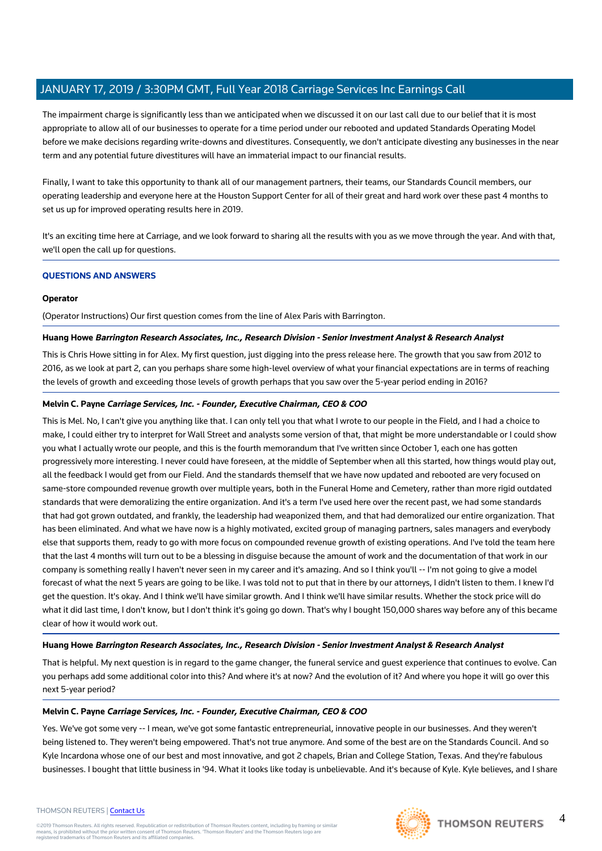The impairment charge is significantly less than we anticipated when we discussed it on our last call due to our belief that it is most appropriate to allow all of our businesses to operate for a time period under our rebooted and updated Standards Operating Model before we make decisions regarding write-downs and divestitures. Consequently, we don't anticipate divesting any businesses in the near term and any potential future divestitures will have an immaterial impact to our financial results.

Finally, I want to take this opportunity to thank all of our management partners, their teams, our Standards Council members, our operating leadership and everyone here at the Houston Support Center for all of their great and hard work over these past 4 months to set us up for improved operating results here in 2019.

It's an exciting time here at Carriage, and we look forward to sharing all the results with you as we move through the year. And with that, we'll open the call up for questions.

## **QUESTIONS AND ANSWERS**

## **Operator**

(Operator Instructions) Our first question comes from the line of Alex Paris with Barrington.

## **Huang Howe Barrington Research Associates, Inc., Research Division - Senior Investment Analyst & Research Analyst**

This is Chris Howe sitting in for Alex. My first question, just digging into the press release here. The growth that you saw from 2012 to 2016, as we look at part 2, can you perhaps share some high-level overview of what your financial expectations are in terms of reaching the levels of growth and exceeding those levels of growth perhaps that you saw over the 5-year period ending in 2016?

## **Melvin C. Payne Carriage Services, Inc. - Founder, Executive Chairman, CEO & COO**

This is Mel. No, I can't give you anything like that. I can only tell you that what I wrote to our people in the Field, and I had a choice to make, I could either try to interpret for Wall Street and analysts some version of that, that might be more understandable or I could show you what I actually wrote our people, and this is the fourth memorandum that I've written since October 1, each one has gotten progressively more interesting. I never could have foreseen, at the middle of September when all this started, how things would play out, all the feedback I would get from our Field. And the standards themself that we have now updated and rebooted are very focused on same-store compounded revenue growth over multiple years, both in the Funeral Home and Cemetery, rather than more rigid outdated standards that were demoralizing the entire organization. And it's a term I've used here over the recent past, we had some standards that had got grown outdated, and frankly, the leadership had weaponized them, and that had demoralized our entire organization. That has been eliminated. And what we have now is a highly motivated, excited group of managing partners, sales managers and everybody else that supports them, ready to go with more focus on compounded revenue growth of existing operations. And I've told the team here that the last 4 months will turn out to be a blessing in disguise because the amount of work and the documentation of that work in our company is something really I haven't never seen in my career and it's amazing. And so I think you'll -- I'm not going to give a model forecast of what the next 5 years are going to be like. I was told not to put that in there by our attorneys, I didn't listen to them. I knew I'd get the question. It's okay. And I think we'll have similar growth. And I think we'll have similar results. Whether the stock price will do what it did last time, I don't know, but I don't think it's going go down. That's why I bought 150,000 shares way before any of this became clear of how it would work out.

## **Huang Howe Barrington Research Associates, Inc., Research Division - Senior Investment Analyst & Research Analyst**

That is helpful. My next question is in regard to the game changer, the funeral service and guest experience that continues to evolve. Can you perhaps add some additional color into this? And where it's at now? And the evolution of it? And where you hope it will go over this next 5-year period?

## **Melvin C. Payne Carriage Services, Inc. - Founder, Executive Chairman, CEO & COO**

Yes. We've got some very -- I mean, we've got some fantastic entrepreneurial, innovative people in our businesses. And they weren't being listened to. They weren't being empowered. That's not true anymore. And some of the best are on the Standards Council. And so Kyle Incardona whose one of our best and most innovative, and got 2 chapels, Brian and College Station, Texas. And they're fabulous businesses. I bought that little business in '94. What it looks like today is unbelievable. And it's because of Kyle. Kyle believes, and I share

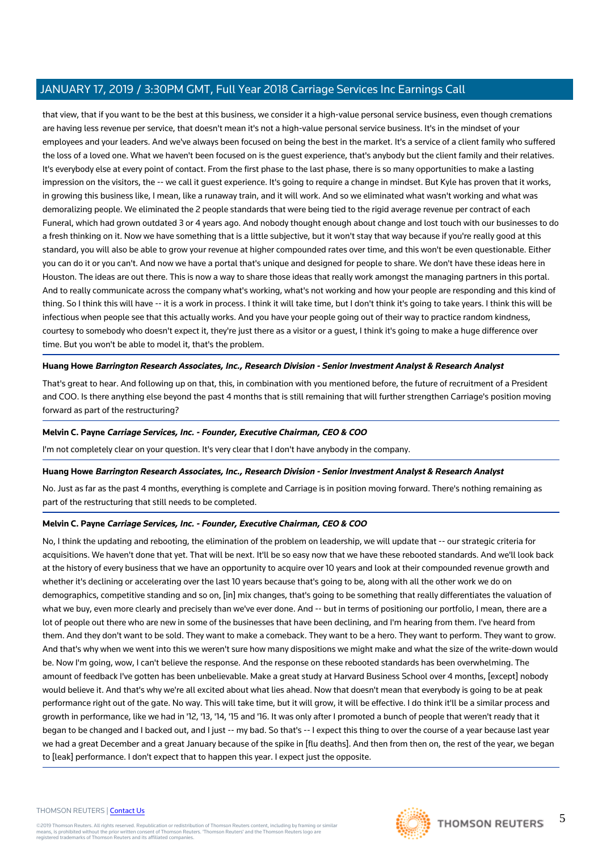that view, that if you want to be the best at this business, we consider it a high-value personal service business, even though cremations are having less revenue per service, that doesn't mean it's not a high-value personal service business. It's in the mindset of your employees and your leaders. And we've always been focused on being the best in the market. It's a service of a client family who suffered the loss of a loved one. What we haven't been focused on is the guest experience, that's anybody but the client family and their relatives. It's everybody else at every point of contact. From the first phase to the last phase, there is so many opportunities to make a lasting impression on the visitors, the -- we call it guest experience. It's going to require a change in mindset. But Kyle has proven that it works, in growing this business like, I mean, like a runaway train, and it will work. And so we eliminated what wasn't working and what was demoralizing people. We eliminated the 2 people standards that were being tied to the rigid average revenue per contract of each Funeral, which had grown outdated 3 or 4 years ago. And nobody thought enough about change and lost touch with our businesses to do a fresh thinking on it. Now we have something that is a little subjective, but it won't stay that way because if you're really good at this standard, you will also be able to grow your revenue at higher compounded rates over time, and this won't be even questionable. Either you can do it or you can't. And now we have a portal that's unique and designed for people to share. We don't have these ideas here in Houston. The ideas are out there. This is now a way to share those ideas that really work amongst the managing partners in this portal. And to really communicate across the company what's working, what's not working and how your people are responding and this kind of thing. So I think this will have -- it is a work in process. I think it will take time, but I don't think it's going to take years. I think this will be infectious when people see that this actually works. And you have your people going out of their way to practice random kindness, courtesy to somebody who doesn't expect it, they're just there as a visitor or a guest, I think it's going to make a huge difference over time. But you won't be able to model it, that's the problem.

## **Huang Howe Barrington Research Associates, Inc., Research Division - Senior Investment Analyst & Research Analyst**

That's great to hear. And following up on that, this, in combination with you mentioned before, the future of recruitment of a President and COO. Is there anything else beyond the past 4 months that is still remaining that will further strengthen Carriage's position moving forward as part of the restructuring?

## **Melvin C. Payne Carriage Services, Inc. - Founder, Executive Chairman, CEO & COO**

I'm not completely clear on your question. It's very clear that I don't have anybody in the company.

## **Huang Howe Barrington Research Associates, Inc., Research Division - Senior Investment Analyst & Research Analyst**

No. Just as far as the past 4 months, everything is complete and Carriage is in position moving forward. There's nothing remaining as part of the restructuring that still needs to be completed.

## **Melvin C. Payne Carriage Services, Inc. - Founder, Executive Chairman, CEO & COO**

No, I think the updating and rebooting, the elimination of the problem on leadership, we will update that -- our strategic criteria for acquisitions. We haven't done that yet. That will be next. It'll be so easy now that we have these rebooted standards. And we'll look back at the history of every business that we have an opportunity to acquire over 10 years and look at their compounded revenue growth and whether it's declining or accelerating over the last 10 years because that's going to be, along with all the other work we do on demographics, competitive standing and so on, [in] mix changes, that's going to be something that really differentiates the valuation of what we buy, even more clearly and precisely than we've ever done. And -- but in terms of positioning our portfolio, I mean, there are a lot of people out there who are new in some of the businesses that have been declining, and I'm hearing from them. I've heard from them. And they don't want to be sold. They want to make a comeback. They want to be a hero. They want to perform. They want to grow. And that's why when we went into this we weren't sure how many dispositions we might make and what the size of the write-down would be. Now I'm going, wow, I can't believe the response. And the response on these rebooted standards has been overwhelming. The amount of feedback I've gotten has been unbelievable. Make a great study at Harvard Business School over 4 months, [except] nobody would believe it. And that's why we're all excited about what lies ahead. Now that doesn't mean that everybody is going to be at peak performance right out of the gate. No way. This will take time, but it will grow, it will be effective. I do think it'll be a similar process and growth in performance, like we had in '12, '13, '14, '15 and '16. It was only after I promoted a bunch of people that weren't ready that it began to be changed and I backed out, and I just -- my bad. So that's -- I expect this thing to over the course of a year because last year we had a great December and a great January because of the spike in [flu deaths]. And then from then on, the rest of the year, we began to [leak] performance. I don't expect that to happen this year. I expect just the opposite.

#### THOMSON REUTERS | [Contact Us](https://my.thomsonreuters.com/ContactUsNew)

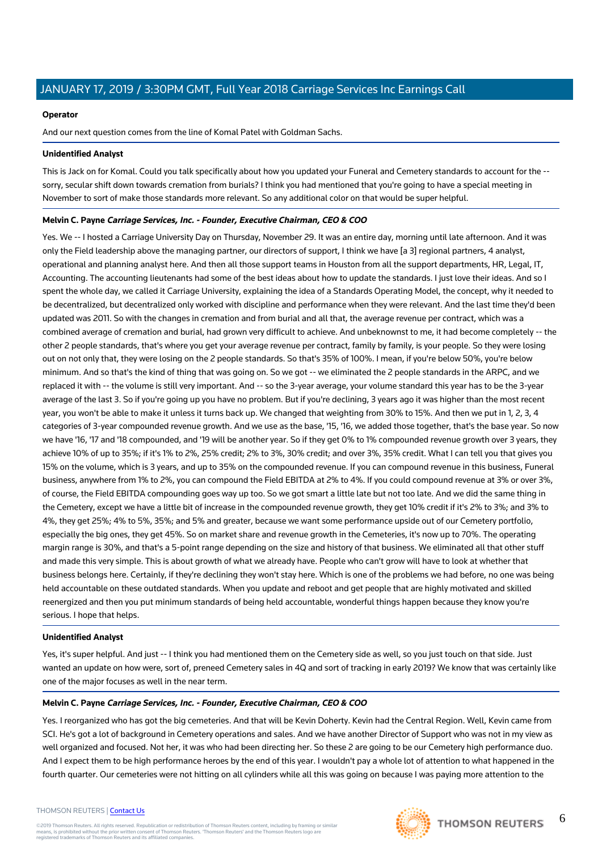## **Operator**

And our next question comes from the line of Komal Patel with Goldman Sachs.

## **Unidentified Analyst**

This is Jack on for Komal. Could you talk specifically about how you updated your Funeral and Cemetery standards to account for the - sorry, secular shift down towards cremation from burials? I think you had mentioned that you're going to have a special meeting in November to sort of make those standards more relevant. So any additional color on that would be super helpful.

## **Melvin C. Payne Carriage Services, Inc. - Founder, Executive Chairman, CEO & COO**

Yes. We -- I hosted a Carriage University Day on Thursday, November 29. It was an entire day, morning until late afternoon. And it was only the Field leadership above the managing partner, our directors of support, I think we have [a 3] regional partners, 4 analyst, operational and planning analyst here. And then all those support teams in Houston from all the support departments, HR, Legal, IT, Accounting. The accounting lieutenants had some of the best ideas about how to update the standards. I just love their ideas. And so I spent the whole day, we called it Carriage University, explaining the idea of a Standards Operating Model, the concept, why it needed to be decentralized, but decentralized only worked with discipline and performance when they were relevant. And the last time they'd been updated was 2011. So with the changes in cremation and from burial and all that, the average revenue per contract, which was a combined average of cremation and burial, had grown very difficult to achieve. And unbeknownst to me, it had become completely -- the other 2 people standards, that's where you get your average revenue per contract, family by family, is your people. So they were losing out on not only that, they were losing on the 2 people standards. So that's 35% of 100%. I mean, if you're below 50%, you're below minimum. And so that's the kind of thing that was going on. So we got -- we eliminated the 2 people standards in the ARPC, and we replaced it with -- the volume is still very important. And -- so the 3-year average, your volume standard this year has to be the 3-year average of the last 3. So if you're going up you have no problem. But if you're declining, 3 years ago it was higher than the most recent year, you won't be able to make it unless it turns back up. We changed that weighting from 30% to 15%. And then we put in 1, 2, 3, 4 categories of 3-year compounded revenue growth. And we use as the base, '15, '16, we added those together, that's the base year. So now we have '16, '17 and '18 compounded, and '19 will be another year. So if they get 0% to 1% compounded revenue growth over 3 years, they achieve 10% of up to 35%; if it's 1% to 2%, 25% credit; 2% to 3%, 30% credit; and over 3%, 35% credit. What I can tell you that gives you 15% on the volume, which is 3 years, and up to 35% on the compounded revenue. If you can compound revenue in this business, Funeral business, anywhere from 1% to 2%, you can compound the Field EBITDA at 2% to 4%. If you could compound revenue at 3% or over 3%, of course, the Field EBITDA compounding goes way up too. So we got smart a little late but not too late. And we did the same thing in the Cemetery, except we have a little bit of increase in the compounded revenue growth, they get 10% credit if it's 2% to 3%; and 3% to 4%, they get 25%; 4% to 5%, 35%; and 5% and greater, because we want some performance upside out of our Cemetery portfolio, especially the big ones, they get 45%. So on market share and revenue growth in the Cemeteries, it's now up to 70%. The operating margin range is 30%, and that's a 5-point range depending on the size and history of that business. We eliminated all that other stuff and made this very simple. This is about growth of what we already have. People who can't grow will have to look at whether that business belongs here. Certainly, if they're declining they won't stay here. Which is one of the problems we had before, no one was being held accountable on these outdated standards. When you update and reboot and get people that are highly motivated and skilled reenergized and then you put minimum standards of being held accountable, wonderful things happen because they know you're serious. I hope that helps.

## **Unidentified Analyst**

Yes, it's super helpful. And just -- I think you had mentioned them on the Cemetery side as well, so you just touch on that side. Just wanted an update on how were, sort of, preneed Cemetery sales in 4Q and sort of tracking in early 2019? We know that was certainly like one of the major focuses as well in the near term.

## **Melvin C. Payne Carriage Services, Inc. - Founder, Executive Chairman, CEO & COO**

Yes. I reorganized who has got the big cemeteries. And that will be Kevin Doherty. Kevin had the Central Region. Well, Kevin came from SCI. He's got a lot of background in Cemetery operations and sales. And we have another Director of Support who was not in my view as well organized and focused. Not her, it was who had been directing her. So these 2 are going to be our Cemetery high performance duo. And I expect them to be high performance heroes by the end of this year. I wouldn't pay a whole lot of attention to what happened in the fourth quarter. Our cemeteries were not hitting on all cylinders while all this was going on because I was paying more attention to the

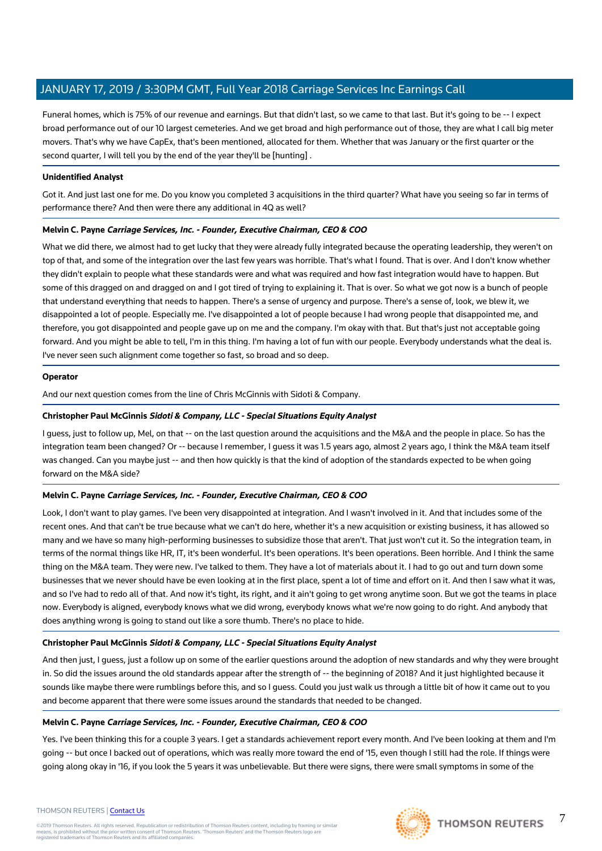Funeral homes, which is 75% of our revenue and earnings. But that didn't last, so we came to that last. But it's going to be -- I expect broad performance out of our 10 largest cemeteries. And we get broad and high performance out of those, they are what I call big meter movers. That's why we have CapEx, that's been mentioned, allocated for them. Whether that was January or the first quarter or the second quarter, I will tell you by the end of the year they'll be [hunting] .

## **Unidentified Analyst**

Got it. And just last one for me. Do you know you completed 3 acquisitions in the third quarter? What have you seeing so far in terms of performance there? And then were there any additional in 4Q as well?

## **Melvin C. Payne Carriage Services, Inc. - Founder, Executive Chairman, CEO & COO**

What we did there, we almost had to get lucky that they were already fully integrated because the operating leadership, they weren't on top of that, and some of the integration over the last few years was horrible. That's what I found. That is over. And I don't know whether they didn't explain to people what these standards were and what was required and how fast integration would have to happen. But some of this dragged on and dragged on and I got tired of trying to explaining it. That is over. So what we got now is a bunch of people that understand everything that needs to happen. There's a sense of urgency and purpose. There's a sense of, look, we blew it, we disappointed a lot of people. Especially me. I've disappointed a lot of people because I had wrong people that disappointed me, and therefore, you got disappointed and people gave up on me and the company. I'm okay with that. But that's just not acceptable going forward. And you might be able to tell, I'm in this thing. I'm having a lot of fun with our people. Everybody understands what the deal is. I've never seen such alignment come together so fast, so broad and so deep.

## **Operator**

And our next question comes from the line of Chris McGinnis with Sidoti & Company.

## **Christopher Paul McGinnis Sidoti & Company, LLC - Special Situations Equity Analyst**

I guess, just to follow up, Mel, on that -- on the last question around the acquisitions and the M&A and the people in place. So has the integration team been changed? Or -- because I remember, I guess it was 1.5 years ago, almost 2 years ago, I think the M&A team itself was changed. Can you maybe just -- and then how quickly is that the kind of adoption of the standards expected to be when going forward on the M&A side?

## **Melvin C. Payne Carriage Services, Inc. - Founder, Executive Chairman, CEO & COO**

Look, I don't want to play games. I've been very disappointed at integration. And I wasn't involved in it. And that includes some of the recent ones. And that can't be true because what we can't do here, whether it's a new acquisition or existing business, it has allowed so many and we have so many high-performing businesses to subsidize those that aren't. That just won't cut it. So the integration team, in terms of the normal things like HR, IT, it's been wonderful. It's been operations. It's been operations. Been horrible. And I think the same thing on the M&A team. They were new. I've talked to them. They have a lot of materials about it. I had to go out and turn down some businesses that we never should have be even looking at in the first place, spent a lot of time and effort on it. And then I saw what it was, and so I've had to redo all of that. And now it's tight, its right, and it ain't going to get wrong anytime soon. But we got the teams in place now. Everybody is aligned, everybody knows what we did wrong, everybody knows what we're now going to do right. And anybody that does anything wrong is going to stand out like a sore thumb. There's no place to hide.

## **Christopher Paul McGinnis Sidoti & Company, LLC - Special Situations Equity Analyst**

And then just, I guess, just a follow up on some of the earlier questions around the adoption of new standards and why they were brought in. So did the issues around the old standards appear after the strength of -- the beginning of 2018? And it just highlighted because it sounds like maybe there were rumblings before this, and so I guess. Could you just walk us through a little bit of how it came out to you and become apparent that there were some issues around the standards that needed to be changed.

## **Melvin C. Payne Carriage Services, Inc. - Founder, Executive Chairman, CEO & COO**

Yes. I've been thinking this for a couple 3 years. I get a standards achievement report every month. And I've been looking at them and I'm going -- but once I backed out of operations, which was really more toward the end of '15, even though I still had the role. If things were going along okay in '16, if you look the 5 years it was unbelievable. But there were signs, there were small symptoms in some of the

#### THOMSON REUTERS | [Contact Us](https://my.thomsonreuters.com/ContactUsNew)

©2019 Thomson Reuters. All rights reserved. Republication or redistribution of Thomson Reuters content, including by framing or similar<br>means, is prohibited without the prior written consent of Thomson Reuters. "Thomson Re



7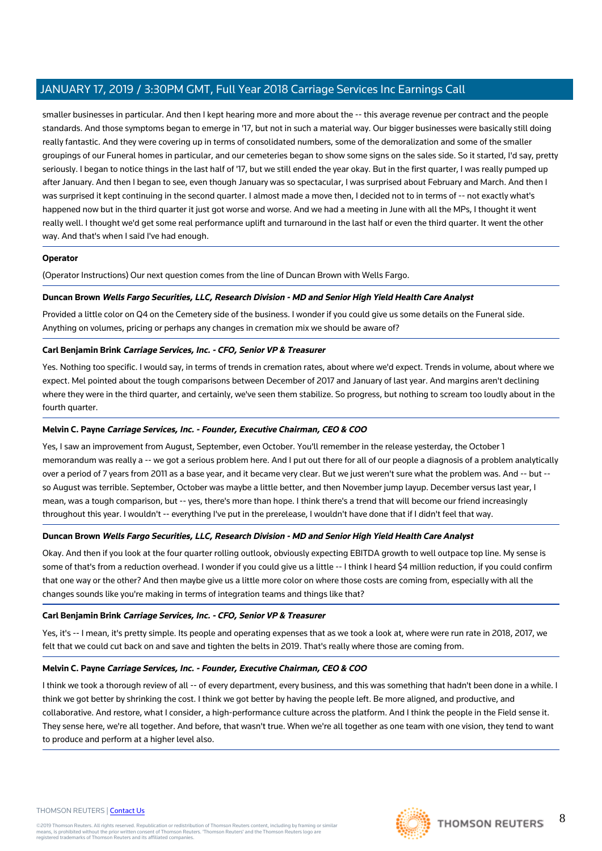smaller businesses in particular. And then I kept hearing more and more about the -- this average revenue per contract and the people standards. And those symptoms began to emerge in '17, but not in such a material way. Our bigger businesses were basically still doing really fantastic. And they were covering up in terms of consolidated numbers, some of the demoralization and some of the smaller groupings of our Funeral homes in particular, and our cemeteries began to show some signs on the sales side. So it started, I'd say, pretty seriously. I began to notice things in the last half of '17, but we still ended the year okay. But in the first quarter, I was really pumped up after January. And then I began to see, even though January was so spectacular, I was surprised about February and March. And then I was surprised it kept continuing in the second quarter. I almost made a move then, I decided not to in terms of -- not exactly what's happened now but in the third quarter it just got worse and worse. And we had a meeting in June with all the MPs, I thought it went really well. I thought we'd get some real performance uplift and turnaround in the last half or even the third quarter. It went the other way. And that's when I said I've had enough.

## **Operator**

(Operator Instructions) Our next question comes from the line of Duncan Brown with Wells Fargo.

## **Duncan Brown Wells Fargo Securities, LLC, Research Division - MD and Senior High Yield Health Care Analyst**

Provided a little color on Q4 on the Cemetery side of the business. I wonder if you could give us some details on the Funeral side. Anything on volumes, pricing or perhaps any changes in cremation mix we should be aware of?

## **Carl Benjamin Brink Carriage Services, Inc. - CFO, Senior VP & Treasurer**

Yes. Nothing too specific. I would say, in terms of trends in cremation rates, about where we'd expect. Trends in volume, about where we expect. Mel pointed about the tough comparisons between December of 2017 and January of last year. And margins aren't declining where they were in the third quarter, and certainly, we've seen them stabilize. So progress, but nothing to scream too loudly about in the fourth quarter.

## **Melvin C. Payne Carriage Services, Inc. - Founder, Executive Chairman, CEO & COO**

Yes, I saw an improvement from August, September, even October. You'll remember in the release yesterday, the October 1 memorandum was really a -- we got a serious problem here. And I put out there for all of our people a diagnosis of a problem analytically over a period of 7 years from 2011 as a base year, and it became very clear. But we just weren't sure what the problem was. And -- but - so August was terrible. September, October was maybe a little better, and then November jump layup. December versus last year, I mean, was a tough comparison, but -- yes, there's more than hope. I think there's a trend that will become our friend increasingly throughout this year. I wouldn't -- everything I've put in the prerelease, I wouldn't have done that if I didn't feel that way.

## **Duncan Brown Wells Fargo Securities, LLC, Research Division - MD and Senior High Yield Health Care Analyst**

Okay. And then if you look at the four quarter rolling outlook, obviously expecting EBITDA growth to well outpace top line. My sense is some of that's from a reduction overhead. I wonder if you could give us a little -- I think I heard \$4 million reduction, if you could confirm that one way or the other? And then maybe give us a little more color on where those costs are coming from, especially with all the changes sounds like you're making in terms of integration teams and things like that?

## **Carl Benjamin Brink Carriage Services, Inc. - CFO, Senior VP & Treasurer**

Yes, it's -- I mean, it's pretty simple. Its people and operating expenses that as we took a look at, where were run rate in 2018, 2017, we felt that we could cut back on and save and tighten the belts in 2019. That's really where those are coming from.

## **Melvin C. Payne Carriage Services, Inc. - Founder, Executive Chairman, CEO & COO**

I think we took a thorough review of all -- of every department, every business, and this was something that hadn't been done in a while. I think we got better by shrinking the cost. I think we got better by having the people left. Be more aligned, and productive, and collaborative. And restore, what I consider, a high-performance culture across the platform. And I think the people in the Field sense it. They sense here, we're all together. And before, that wasn't true. When we're all together as one team with one vision, they tend to want to produce and perform at a higher level also.

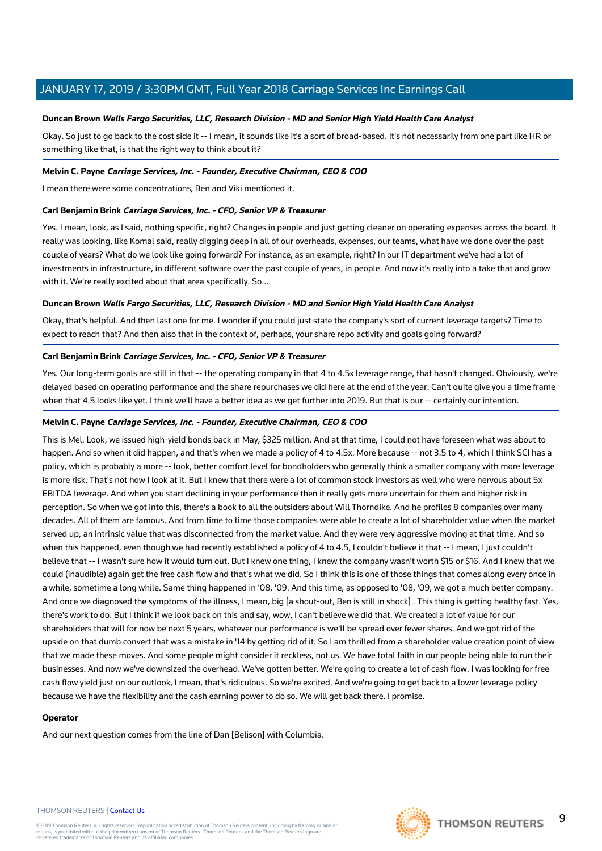## **Duncan Brown Wells Fargo Securities, LLC, Research Division - MD and Senior High Yield Health Care Analyst**

Okay. So just to go back to the cost side it -- I mean, it sounds like it's a sort of broad-based. It's not necessarily from one part like HR or something like that, is that the right way to think about it?

## **Melvin C. Payne Carriage Services, Inc. - Founder, Executive Chairman, CEO & COO**

I mean there were some concentrations, Ben and Viki mentioned it.

## **Carl Benjamin Brink Carriage Services, Inc. - CFO, Senior VP & Treasurer**

Yes. I mean, look, as I said, nothing specific, right? Changes in people and just getting cleaner on operating expenses across the board. It really was looking, like Komal said, really digging deep in all of our overheads, expenses, our teams, what have we done over the past couple of years? What do we look like going forward? For instance, as an example, right? In our IT department we've had a lot of investments in infrastructure, in different software over the past couple of years, in people. And now it's really into a take that and grow with it. We're really excited about that area specifically. So...

## **Duncan Brown Wells Fargo Securities, LLC, Research Division - MD and Senior High Yield Health Care Analyst**

Okay, that's helpful. And then last one for me. I wonder if you could just state the company's sort of current leverage targets? Time to expect to reach that? And then also that in the context of, perhaps, your share repo activity and goals going forward?

## **Carl Benjamin Brink Carriage Services, Inc. - CFO, Senior VP & Treasurer**

Yes. Our long-term goals are still in that -- the operating company in that 4 to 4.5x leverage range, that hasn't changed. Obviously, we're delayed based on operating performance and the share repurchases we did here at the end of the year. Can't quite give you a time frame when that 4.5 looks like yet. I think we'll have a better idea as we get further into 2019. But that is our -- certainly our intention.

## **Melvin C. Payne Carriage Services, Inc. - Founder, Executive Chairman, CEO & COO**

This is Mel. Look, we issued high-yield bonds back in May, \$325 million. And at that time, I could not have foreseen what was about to happen. And so when it did happen, and that's when we made a policy of 4 to 4.5x. More because -- not 3.5 to 4, which I think SCI has a policy, which is probably a more -- look, better comfort level for bondholders who generally think a smaller company with more leverage is more risk. That's not how I look at it. But I knew that there were a lot of common stock investors as well who were nervous about 5x EBITDA leverage. And when you start declining in your performance then it really gets more uncertain for them and higher risk in perception. So when we got into this, there's a book to all the outsiders about Will Thorndike. And he profiles 8 companies over many decades. All of them are famous. And from time to time those companies were able to create a lot of shareholder value when the market served up, an intrinsic value that was disconnected from the market value. And they were very aggressive moving at that time. And so when this happened, even though we had recently established a policy of 4 to 4.5, I couldn't believe it that -- I mean, I just couldn't believe that -- I wasn't sure how it would turn out. But I knew one thing, I knew the company wasn't worth \$15 or \$16. And I knew that we could (inaudible) again get the free cash flow and that's what we did. So I think this is one of those things that comes along every once in a while, sometime a long while. Same thing happened in '08, '09. And this time, as opposed to '08, '09, we got a much better company. And once we diagnosed the symptoms of the illness, I mean, big [a shout-out, Ben is still in shock] . This thing is getting healthy fast. Yes, there's work to do. But I think if we look back on this and say, wow, I can't believe we did that. We created a lot of value for our shareholders that will for now be next 5 years, whatever our performance is we'll be spread over fewer shares. And we got rid of the upside on that dumb convert that was a mistake in '14 by getting rid of it. So I am thrilled from a shareholder value creation point of view that we made these moves. And some people might consider it reckless, not us. We have total faith in our people being able to run their businesses. And now we've downsized the overhead. We've gotten better. We're going to create a lot of cash flow. I was looking for free cash flow yield just on our outlook, I mean, that's ridiculous. So we're excited. And we're going to get back to a lower leverage policy because we have the flexibility and the cash earning power to do so. We will get back there. I promise.

## **Operator**

And our next question comes from the line of Dan [Belison] with Columbia.

#### THOMSON REUTERS | [Contact Us](https://my.thomsonreuters.com/ContactUsNew)

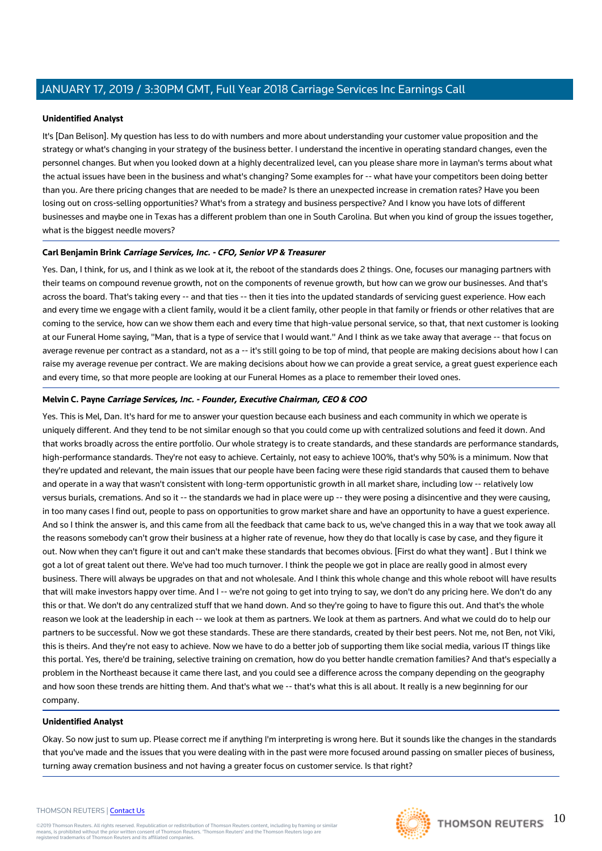## **Unidentified Analyst**

It's [Dan Belison]. My question has less to do with numbers and more about understanding your customer value proposition and the strategy or what's changing in your strategy of the business better. I understand the incentive in operating standard changes, even the personnel changes. But when you looked down at a highly decentralized level, can you please share more in layman's terms about what the actual issues have been in the business and what's changing? Some examples for -- what have your competitors been doing better than you. Are there pricing changes that are needed to be made? Is there an unexpected increase in cremation rates? Have you been losing out on cross-selling opportunities? What's from a strategy and business perspective? And I know you have lots of different businesses and maybe one in Texas has a different problem than one in South Carolina. But when you kind of group the issues together, what is the biggest needle movers?

## **Carl Benjamin Brink Carriage Services, Inc. - CFO, Senior VP & Treasurer**

Yes. Dan, I think, for us, and I think as we look at it, the reboot of the standards does 2 things. One, focuses our managing partners with their teams on compound revenue growth, not on the components of revenue growth, but how can we grow our businesses. And that's across the board. That's taking every -- and that ties -- then it ties into the updated standards of servicing quest experience. How each and every time we engage with a client family, would it be a client family, other people in that family or friends or other relatives that are coming to the service, how can we show them each and every time that high-value personal service, so that, that next customer is looking at our Funeral Home saying, "Man, that is a type of service that I would want." And I think as we take away that average -- that focus on average revenue per contract as a standard, not as a -- it's still going to be top of mind, that people are making decisions about how I can raise my average revenue per contract. We are making decisions about how we can provide a great service, a great guest experience each and every time, so that more people are looking at our Funeral Homes as a place to remember their loved ones.

## **Melvin C. Payne Carriage Services, Inc. - Founder, Executive Chairman, CEO & COO**

Yes. This is Mel, Dan. It's hard for me to answer your question because each business and each community in which we operate is uniquely different. And they tend to be not similar enough so that you could come up with centralized solutions and feed it down. And that works broadly across the entire portfolio. Our whole strategy is to create standards, and these standards are performance standards, high-performance standards. They're not easy to achieve. Certainly, not easy to achieve 100%, that's why 50% is a minimum. Now that they're updated and relevant, the main issues that our people have been facing were these rigid standards that caused them to behave and operate in a way that wasn't consistent with long-term opportunistic growth in all market share, including low -- relatively low versus burials, cremations. And so it -- the standards we had in place were up -- they were posing a disincentive and they were causing, in too many cases I find out, people to pass on opportunities to grow market share and have an opportunity to have a guest experience. And so I think the answer is, and this came from all the feedback that came back to us, we've changed this in a way that we took away all the reasons somebody can't grow their business at a higher rate of revenue, how they do that locally is case by case, and they figure it out. Now when they can't figure it out and can't make these standards that becomes obvious. [First do what they want] . But I think we got a lot of great talent out there. We've had too much turnover. I think the people we got in place are really good in almost every business. There will always be upgrades on that and not wholesale. And I think this whole change and this whole reboot will have results that will make investors happy over time. And I -- we're not going to get into trying to say, we don't do any pricing here. We don't do any this or that. We don't do any centralized stuff that we hand down. And so they're going to have to figure this out. And that's the whole reason we look at the leadership in each -- we look at them as partners. We look at them as partners. And what we could do to help our partners to be successful. Now we got these standards. These are there standards, created by their best peers. Not me, not Ben, not Viki, this is theirs. And they're not easy to achieve. Now we have to do a better job of supporting them like social media, various IT things like this portal. Yes, there'd be training, selective training on cremation, how do you better handle cremation families? And that's especially a problem in the Northeast because it came there last, and you could see a difference across the company depending on the geography and how soon these trends are hitting them. And that's what we -- that's what this is all about. It really is a new beginning for our company.

## **Unidentified Analyst**

Okay. So now just to sum up. Please correct me if anything I'm interpreting is wrong here. But it sounds like the changes in the standards that you've made and the issues that you were dealing with in the past were more focused around passing on smaller pieces of business, turning away cremation business and not having a greater focus on customer service. Is that right?

## THOMSON REUTERS | [Contact Us](https://my.thomsonreuters.com/ContactUsNew)